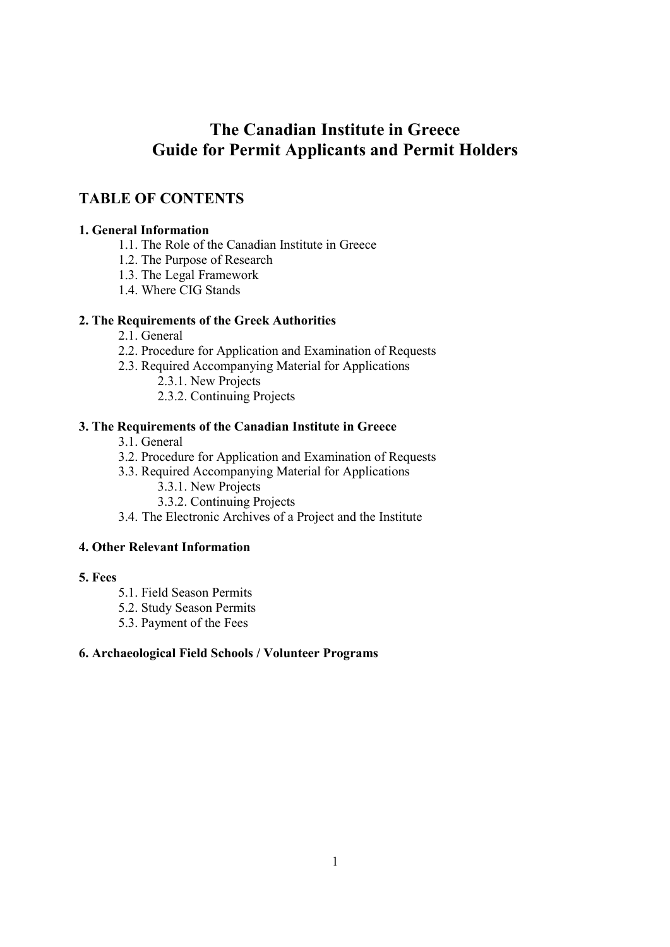# **The Canadian Institute in Greece Guide for Permit Applicants and Permit Holders**

# **TABLE OF CONTENTS**

# **1. General Information**

- 1.1. The Role of the Canadian Institute in Greece
- 1.2. The Purpose of Research
- 1.3. The Legal Framework
- 1.4. Where CIG Stands

# **2. The Requirements of the Greek Authorities**

- 2.1. General
- 2.2. Procedure for Application and Examination of Requests
- 2.3. Required Accompanying Material for Applications
	- 2.3.1. New Projects
	- 2.3.2. Continuing Projects

# **3. The Requirements of the Canadian Institute in Greece**

- 3.1. General
- 3.2. Procedure for Application and Examination of Requests
- 3.3. Required Accompanying Material for Applications
	- 3.3.1. New Projects
	- 3.3.2. Continuing Projects
- 3.4. The Electronic Archives of a Project and the Institute

# **4. Other Relevant Information**

# **5. Fees**

- 5.1. Field Season Permits
- 5.2. Study Season Permits
- 5.3. Payment of the Fees

# **6. Archaeological Field Schools / Volunteer Programs**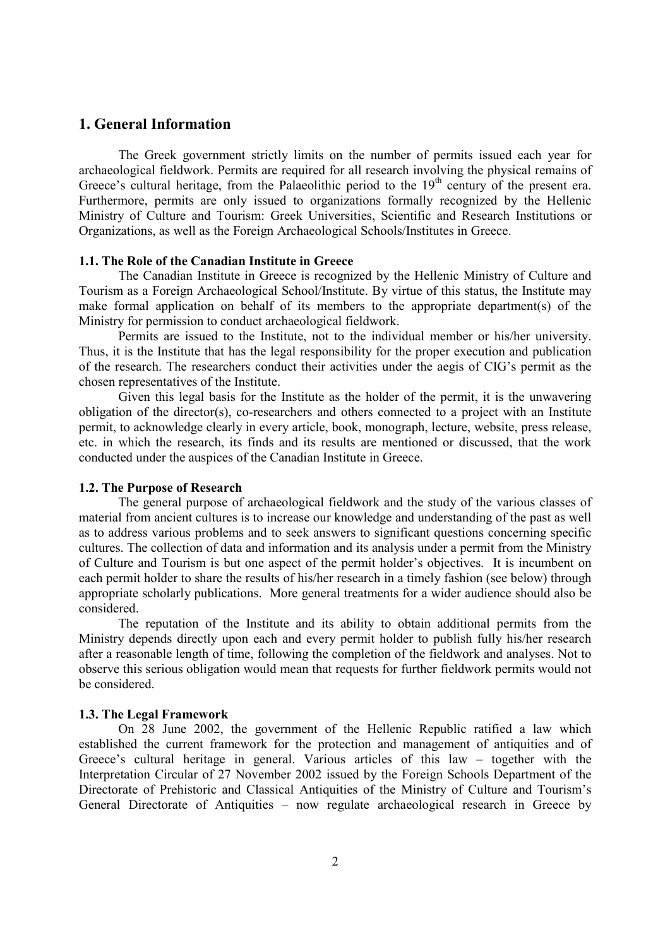# **1. General Information**

The Greek government strictly limits on the number of permits issued each year for archaeological fieldwork. Permits are required for all research involving the physical remains of Greece's cultural heritage, from the Palaeolithic period to the  $19<sup>th</sup>$  century of the present era. Furthermore, permits are only issued to organizations formally recognized by the Hellenic Ministry of Culture and Tourism: Greek Universities, Scientific and Research Institutions or Organizations, as well as the Foreign Archaeological Schools/Institutes in Greece.

#### **1.1. The Role of the Canadian Institute in Greece**

The Canadian Institute in Greece is recognized by the Hellenic Ministry of Culture and Tourism as a Foreign Archaeological School/Institute. By virtue of this status, the Institute may make formal application on behalf of its members to the appropriate department(s) of the Ministry for permission to conduct archaeological fieldwork.

Permits are issued to the Institute, not to the individual member or his/her university. Thus, it is the Institute that has the legal responsibility for the proper execution and publication of the research. The researchers conduct their activities under the aegis of CIG's permit as the chosen representatives of the Institute.

Given this legal basis for the Institute as the holder of the permit, it is the unwavering obligation of the director(s), co-researchers and others connected to a project with an Institute permit, to acknowledge clearly in every article, book, monograph, lecture, website, press release, etc. in which the research, its finds and its results are mentioned or discussed, that the work conducted under the auspices of the Canadian Institute in Greece.

#### **1.2. The Purpose of Research**

 The general purpose of archaeological fieldwork and the study of the various classes of material from ancient cultures is to increase our knowledge and understanding of the past as well as to address various problems and to seek answers to significant questions concerning specific cultures. The collection of data and information and its analysis under a permit from the Ministry of Culture and Tourism is but one aspect of the permit holder's objectives. It is incumbent on each permit holder to share the results of his/her research in a timely fashion (see below) through appropriate scholarly publications. More general treatments for a wider audience should also be considered.

 The reputation of the Institute and its ability to obtain additional permits from the Ministry depends directly upon each and every permit holder to publish fully his/her research after a reasonable length of time, following the completion of the fieldwork and analyses. Not to observe this serious obligation would mean that requests for further fieldwork permits would not be considered.

#### **1.3. The Legal Framework**

On 28 June 2002, the government of the Hellenic Republic ratified a law which established the current framework for the protection and management of antiquities and of Greece's cultural heritage in general. Various articles of this law – together with the Interpretation Circular of 27 November 2002 issued by the Foreign Schools Department of the Directorate of Prehistoric and Classical Antiquities of the Ministry of Culture and Tourism's General Directorate of Antiquities – now regulate archaeological research in Greece by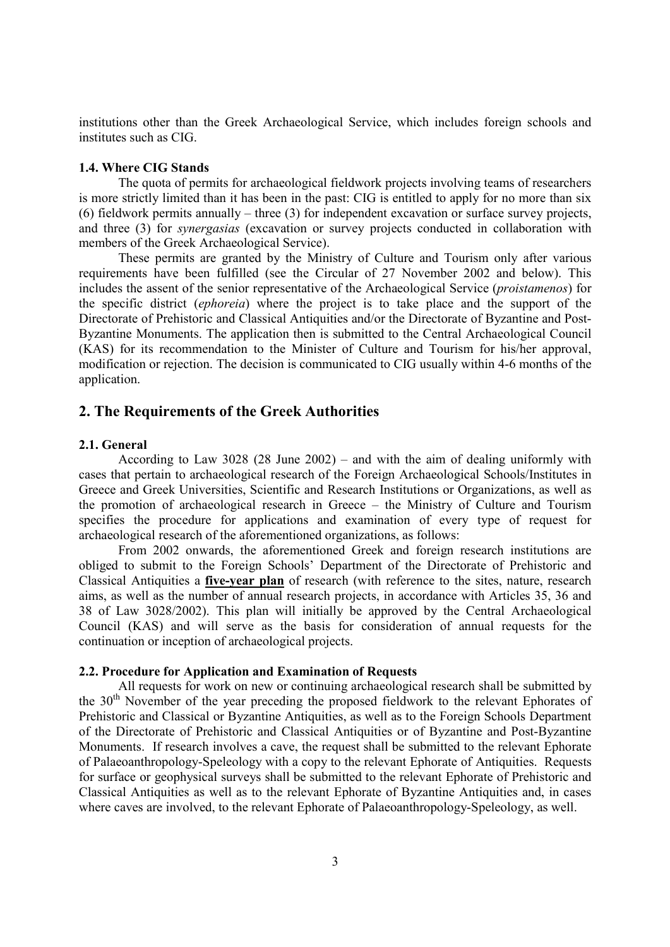institutions other than the Greek Archaeological Service, which includes foreign schools and institutes such as CIG.

#### **1.4. Where CIG Stands**

The quota of permits for archaeological fieldwork projects involving teams of researchers is more strictly limited than it has been in the past: CIG is entitled to apply for no more than six (6) fieldwork permits annually – three (3) for independent excavation or surface survey projects, and three (3) for *synergasias* (excavation or survey projects conducted in collaboration with members of the Greek Archaeological Service).

These permits are granted by the Ministry of Culture and Tourism only after various requirements have been fulfilled (see the Circular of 27 November 2002 and below). This includes the assent of the senior representative of the Archaeological Service (*proistamenos*) for the specific district (*ephoreia*) where the project is to take place and the support of the Directorate of Prehistoric and Classical Antiquities and/or the Directorate of Byzantine and Post-Byzantine Monuments. The application then is submitted to the Central Archaeological Council (KAS) for its recommendation to the Minister of Culture and Tourism for his/her approval, modification or rejection. The decision is communicated to CIG usually within 4-6 months of the application.

### **2. The Requirements of the Greek Authorities**

#### **2.1. General**

According to Law 3028 (28 June 2002) – and with the aim of dealing uniformly with cases that pertain to archaeological research of the Foreign Archaeological Schools/Institutes in Greece and Greek Universities, Scientific and Research Institutions or Organizations, as well as the promotion of archaeological research in Greece – the Ministry of Culture and Tourism specifies the procedure for applications and examination of every type of request for archaeological research of the aforementioned organizations, as follows:

From 2002 onwards, the aforementioned Greek and foreign research institutions are obliged to submit to the Foreign Schools' Department of the Directorate of Prehistoric and Classical Antiquities a **five-year plan** of research (with reference to the sites, nature, research aims, as well as the number of annual research projects, in accordance with Articles 35, 36 and 38 of Law 3028/2002). This plan will initially be approved by the Central Archaeological Council (KAS) and will serve as the basis for consideration of annual requests for the continuation or inception of archaeological projects.

#### **2.2. Procedure for Application and Examination of Requests**

All requests for work on new or continuing archaeological research shall be submitted by the  $30<sup>th</sup>$  November of the year preceding the proposed fieldwork to the relevant Ephorates of Prehistoric and Classical or Byzantine Antiquities, as well as to the Foreign Schools Department of the Directorate of Prehistoric and Classical Antiquities or of Byzantine and Post-Byzantine Monuments. If research involves a cave, the request shall be submitted to the relevant Ephorate of Palaeoanthropology-Speleology with a copy to the relevant Ephorate of Antiquities. Requests for surface or geophysical surveys shall be submitted to the relevant Ephorate of Prehistoric and Classical Antiquities as well as to the relevant Ephorate of Byzantine Antiquities and, in cases where caves are involved, to the relevant Ephorate of Palaeoanthropology-Speleology, as well.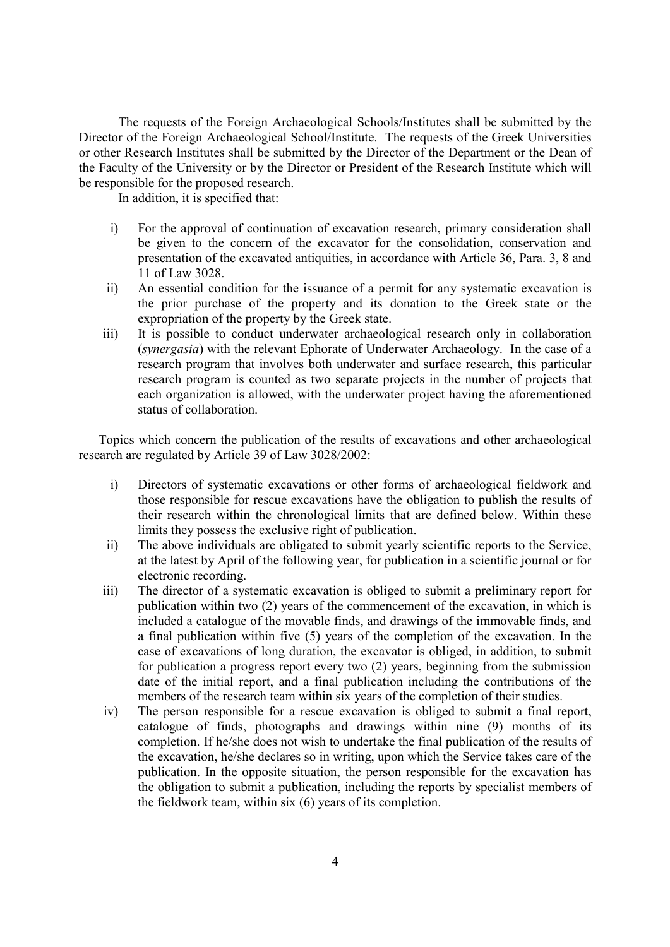The requests of the Foreign Archaeological Schools/Institutes shall be submitted by the Director of the Foreign Archaeological School/Institute. The requests of the Greek Universities or other Research Institutes shall be submitted by the Director of the Department or the Dean of the Faculty of the University or by the Director or President of the Research Institute which will be responsible for the proposed research.

In addition, it is specified that:

- i) For the approval of continuation of excavation research, primary consideration shall be given to the concern of the excavator for the consolidation, conservation and presentation of the excavated antiquities, in accordance with Article 36, Para. 3, 8 and 11 of Law 3028.
- ii) An essential condition for the issuance of a permit for any systematic excavation is the prior purchase of the property and its donation to the Greek state or the expropriation of the property by the Greek state.
- iii) It is possible to conduct underwater archaeological research only in collaboration (*synergasia*) with the relevant Ephorate of Underwater Archaeology. In the case of a research program that involves both underwater and surface research, this particular research program is counted as two separate projects in the number of projects that each organization is allowed, with the underwater project having the aforementioned status of collaboration.

Topics which concern the publication of the results of excavations and other archaeological research are regulated by Article 39 of Law 3028/2002:

- i) Directors of systematic excavations or other forms of archaeological fieldwork and those responsible for rescue excavations have the obligation to publish the results of their research within the chronological limits that are defined below. Within these limits they possess the exclusive right of publication.
- ii) The above individuals are obligated to submit yearly scientific reports to the Service, at the latest by April of the following year, for publication in a scientific journal or for electronic recording.
- iii) The director of a systematic excavation is obliged to submit a preliminary report for publication within two (2) years of the commencement of the excavation, in which is included a catalogue of the movable finds, and drawings of the immovable finds, and a final publication within five (5) years of the completion of the excavation. In the case of excavations of long duration, the excavator is obliged, in addition, to submit for publication a progress report every two (2) years, beginning from the submission date of the initial report, and a final publication including the contributions of the members of the research team within six years of the completion of their studies.
- iv) The person responsible for a rescue excavation is obliged to submit a final report, catalogue of finds, photographs and drawings within nine (9) months of its completion. If he/she does not wish to undertake the final publication of the results of the excavation, he/she declares so in writing, upon which the Service takes care of the publication. In the opposite situation, the person responsible for the excavation has the obligation to submit a publication, including the reports by specialist members of the fieldwork team, within six (6) years of its completion.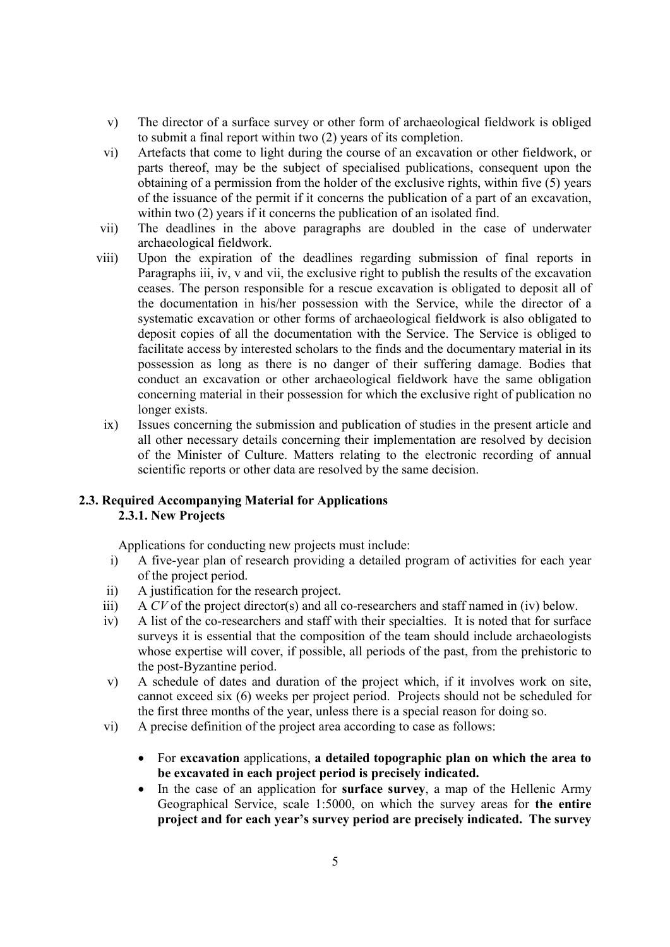- v) The director of a surface survey or other form of archaeological fieldwork is obliged to submit a final report within two (2) years of its completion.
- vi) Artefacts that come to light during the course of an excavation or other fieldwork, or parts thereof, may be the subject of specialised publications, consequent upon the obtaining of a permission from the holder of the exclusive rights, within five (5) years of the issuance of the permit if it concerns the publication of a part of an excavation, within two (2) years if it concerns the publication of an isolated find.
- vii) The deadlines in the above paragraphs are doubled in the case of underwater archaeological fieldwork.
- viii) Upon the expiration of the deadlines regarding submission of final reports in Paragraphs iii, iv, v and vii, the exclusive right to publish the results of the excavation ceases. The person responsible for a rescue excavation is obligated to deposit all of the documentation in his/her possession with the Service, while the director of a systematic excavation or other forms of archaeological fieldwork is also obligated to deposit copies of all the documentation with the Service. The Service is obliged to facilitate access by interested scholars to the finds and the documentary material in its possession as long as there is no danger of their suffering damage. Bodies that conduct an excavation or other archaeological fieldwork have the same obligation concerning material in their possession for which the exclusive right of publication no longer exists.
	- ix) Issues concerning the submission and publication of studies in the present article and all other necessary details concerning their implementation are resolved by decision of the Minister of Culture. Matters relating to the electronic recording of annual scientific reports or other data are resolved by the same decision.

# **2.3. Required Accompanying Material for Applications 2.3.1. New Projects**

Applications for conducting new projects must include:

- i) A five-year plan of research providing a detailed program of activities for each year of the project period.
- ii) A justification for the research project.
- iii) A *CV* of the project director(s) and all co-researchers and staff named in (iv) below.
- iv) A list of the co-researchers and staff with their specialties. It is noted that for surface surveys it is essential that the composition of the team should include archaeologists whose expertise will cover, if possible, all periods of the past, from the prehistoric to the post-Byzantine period.
- v) A schedule of dates and duration of the project which, if it involves work on site, cannot exceed six (6) weeks per project period. Projects should not be scheduled for the first three months of the year, unless there is a special reason for doing so.
- vi) A precise definition of the project area according to case as follows:
	- For **excavation** applications, **a detailed topographic plan on which the area to be excavated in each project period is precisely indicated.**
	- In the case of an application for **surface survey**, a map of the Hellenic Army Geographical Service, scale 1:5000, on which the survey areas for **the entire project and for each year's survey period are precisely indicated. The survey**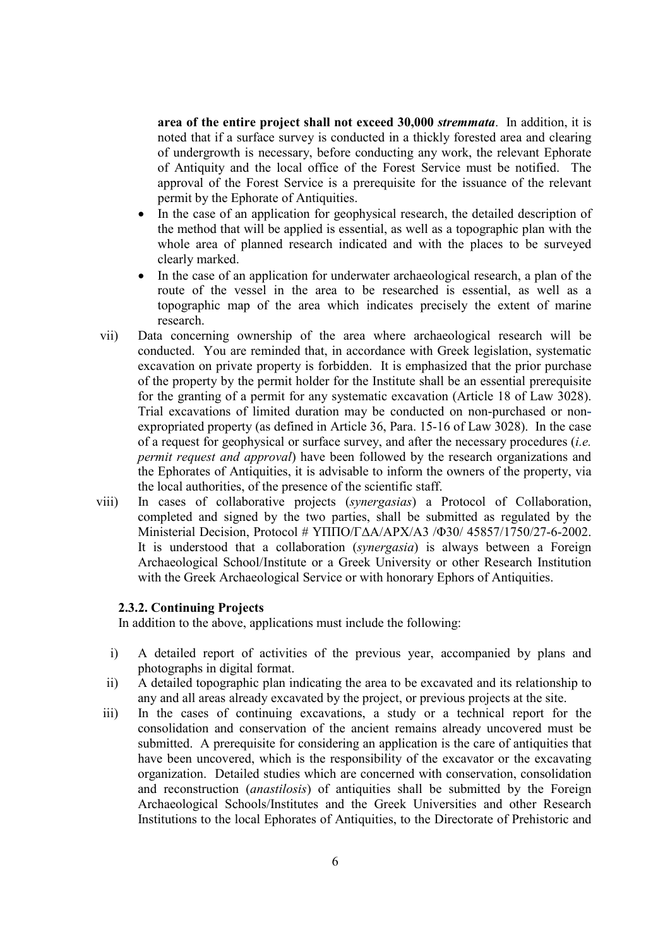**area of the entire project shall not exceed 30,000** *stremmata*. In addition, it is noted that if a surface survey is conducted in a thickly forested area and clearing of undergrowth is necessary, before conducting any work, the relevant Ephorate of Antiquity and the local office of the Forest Service must be notified. The approval of the Forest Service is a prerequisite for the issuance of the relevant permit by the Ephorate of Antiquities.

- In the case of an application for geophysical research, the detailed description of the method that will be applied is essential, as well as a topographic plan with the whole area of planned research indicated and with the places to be surveyed clearly marked.
- In the case of an application for underwater archaeological research, a plan of the route of the vessel in the area to be researched is essential, as well as a topographic map of the area which indicates precisely the extent of marine research.
- vii) Data concerning ownership of the area where archaeological research will be conducted. You are reminded that, in accordance with Greek legislation, systematic excavation on private property is forbidden. It is emphasized that the prior purchase of the property by the permit holder for the Institute shall be an essential prerequisite for the granting of a permit for any systematic excavation (Article 18 of Law 3028). Trial excavations of limited duration may be conducted on non-purchased or nonexpropriated property (as defined in Article 36, Para. 15-16 of Law 3028). In the case of a request for geophysical or surface survey, and after the necessary procedures (*i.e. permit request and approval*) have been followed by the research organizations and the Ephorates of Antiquities, it is advisable to inform the owners of the property, via the local authorities, of the presence of the scientific staff.
- viii) In cases of collaborative projects (*synergasias*) a Protocol of Collaboration, completed and signed by the two parties, shall be submitted as regulated by the Ministerial Decision, Protocol # ΥΠΠΟ/Γ∆Α/ΑΡΧ/Α3 /Φ30/ 45857/1750/27-6-2002. It is understood that a collaboration (*synergasia*) is always between a Foreign Archaeological School/Institute or a Greek University or other Research Institution with the Greek Archaeological Service or with honorary Ephors of Antiquities.

#### **2.3.2. Continuing Projects**

In addition to the above, applications must include the following:

- i) A detailed report of activities of the previous year, accompanied by plans and photographs in digital format.
- ii) A detailed topographic plan indicating the area to be excavated and its relationship to any and all areas already excavated by the project, or previous projects at the site.
- iii) In the cases of continuing excavations, a study or a technical report for the consolidation and conservation of the ancient remains already uncovered must be submitted. A prerequisite for considering an application is the care of antiquities that have been uncovered, which is the responsibility of the excavator or the excavating organization. Detailed studies which are concerned with conservation, consolidation and reconstruction (*anastilosis*) of antiquities shall be submitted by the Foreign Archaeological Schools/Institutes and the Greek Universities and other Research Institutions to the local Ephorates of Antiquities, to the Directorate of Prehistoric and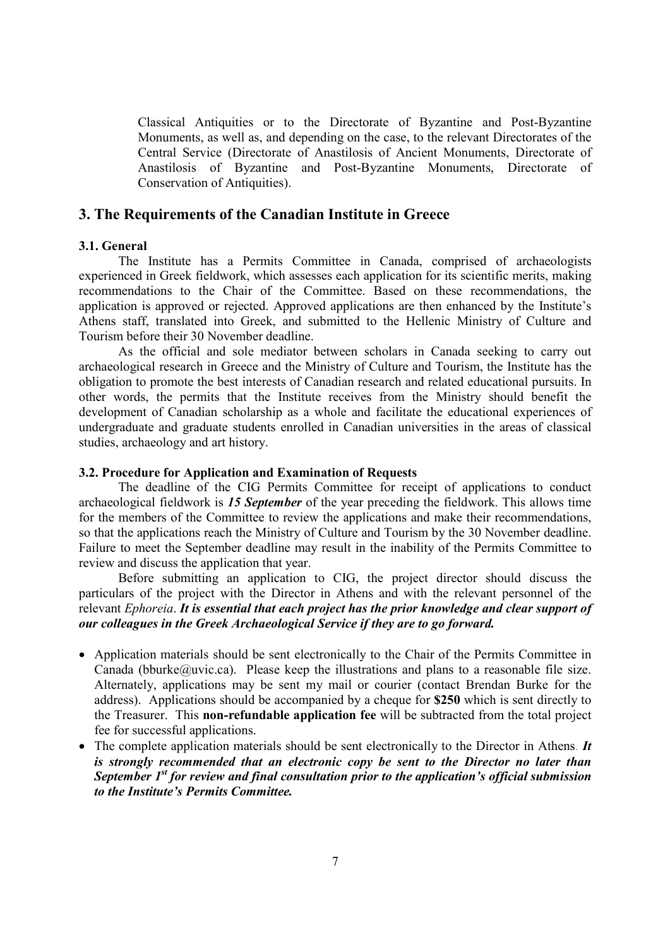Classical Antiquities or to the Directorate of Byzantine and Post-Byzantine Monuments, as well as, and depending on the case, to the relevant Directorates of the Central Service (Directorate of Anastilosis of Ancient Monuments, Directorate of Anastilosis of Byzantine and Post-Byzantine Monuments, Directorate of Conservation of Antiquities).

# **3. The Requirements of the Canadian Institute in Greece**

#### **3.1. General**

The Institute has a Permits Committee in Canada, comprised of archaeologists experienced in Greek fieldwork, which assesses each application for its scientific merits, making recommendations to the Chair of the Committee. Based on these recommendations, the application is approved or rejected. Approved applications are then enhanced by the Institute's Athens staff, translated into Greek, and submitted to the Hellenic Ministry of Culture and Tourism before their 30 November deadline.

As the official and sole mediator between scholars in Canada seeking to carry out archaeological research in Greece and the Ministry of Culture and Tourism, the Institute has the obligation to promote the best interests of Canadian research and related educational pursuits. In other words, the permits that the Institute receives from the Ministry should benefit the development of Canadian scholarship as a whole and facilitate the educational experiences of undergraduate and graduate students enrolled in Canadian universities in the areas of classical studies, archaeology and art history.

#### **3.2. Procedure for Application and Examination of Requests**

The deadline of the CIG Permits Committee for receipt of applications to conduct archaeological fieldwork is *15 September* of the year preceding the fieldwork. This allows time for the members of the Committee to review the applications and make their recommendations, so that the applications reach the Ministry of Culture and Tourism by the 30 November deadline. Failure to meet the September deadline may result in the inability of the Permits Committee to review and discuss the application that year.

Before submitting an application to CIG, the project director should discuss the particulars of the project with the Director in Athens and with the relevant personnel of the relevant *Ephoreia*. *It is essential that each project has the prior knowledge and clear support of our colleagues in the Greek Archaeological Service if they are to go forward.*

- Application materials should be sent electronically to the Chair of the Permits Committee in Canada (bburke@uvic.ca). Please keep the illustrations and plans to a reasonable file size. Alternately, applications may be sent my mail or courier (contact Brendan Burke for the address). Applications should be accompanied by a cheque for **\$250** which is sent directly to the Treasurer. This **non-refundable application fee** will be subtracted from the total project fee for successful applications.
- The complete application materials should be sent electronically to the Director in Athens. *It is strongly recommended that an electronic copy be sent to the Director no later than September 1st for review and final consultation prior to the application's official submission to the Institute's Permits Committee.*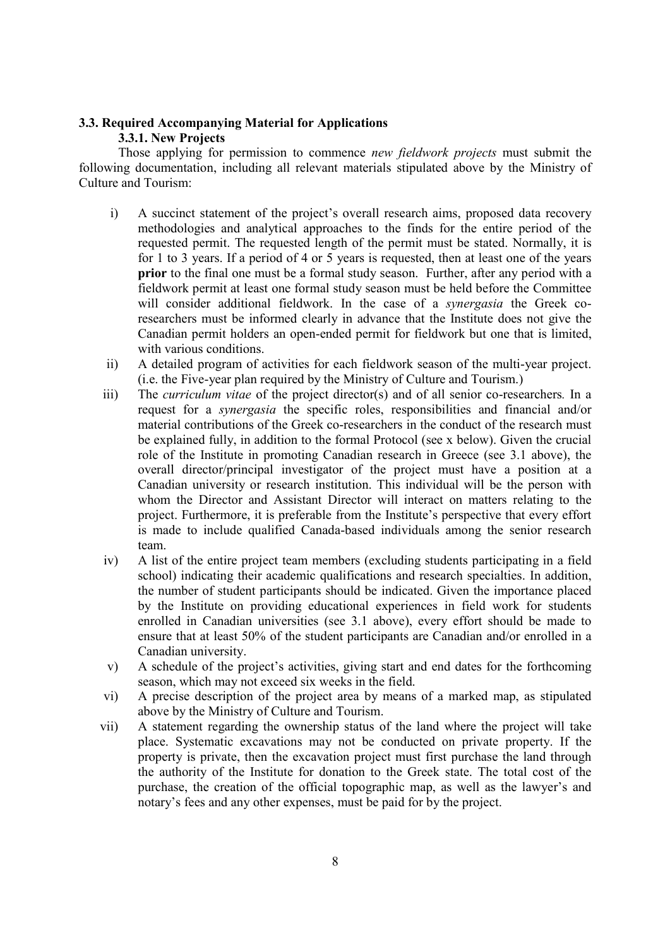# **3.3. Required Accompanying Material for Applications**

# **3.3.1. New Projects**

Those applying for permission to commence *new fieldwork projects* must submit the following documentation, including all relevant materials stipulated above by the Ministry of Culture and Tourism:

- i) A succinct statement of the project's overall research aims, proposed data recovery methodologies and analytical approaches to the finds for the entire period of the requested permit. The requested length of the permit must be stated. Normally, it is for 1 to 3 years. If a period of 4 or 5 years is requested, then at least one of the years **prior** to the final one must be a formal study season. Further, after any period with a fieldwork permit at least one formal study season must be held before the Committee will consider additional fieldwork. In the case of a *synergasia* the Greek coresearchers must be informed clearly in advance that the Institute does not give the Canadian permit holders an open-ended permit for fieldwork but one that is limited, with various conditions.
- ii) A detailed program of activities for each fieldwork season of the multi-year project. (i.e. the Five-year plan required by the Ministry of Culture and Tourism.)
- iii) The *curriculum vitae* of the project director(s) and of all senior co-researchers*.* In a request for a *synergasia* the specific roles, responsibilities and financial and/or material contributions of the Greek co-researchers in the conduct of the research must be explained fully, in addition to the formal Protocol (see x below). Given the crucial role of the Institute in promoting Canadian research in Greece (see 3.1 above), the overall director/principal investigator of the project must have a position at a Canadian university or research institution. This individual will be the person with whom the Director and Assistant Director will interact on matters relating to the project. Furthermore, it is preferable from the Institute's perspective that every effort is made to include qualified Canada-based individuals among the senior research team.
- iv) A list of the entire project team members (excluding students participating in a field school) indicating their academic qualifications and research specialties. In addition, the number of student participants should be indicated. Given the importance placed by the Institute on providing educational experiences in field work for students enrolled in Canadian universities (see 3.1 above), every effort should be made to ensure that at least 50% of the student participants are Canadian and/or enrolled in a Canadian university.
- v) A schedule of the project's activities, giving start and end dates for the forthcoming season, which may not exceed six weeks in the field.
- vi) A precise description of the project area by means of a marked map, as stipulated above by the Ministry of Culture and Tourism.
- vii) A statement regarding the ownership status of the land where the project will take place. Systematic excavations may not be conducted on private property. If the property is private, then the excavation project must first purchase the land through the authority of the Institute for donation to the Greek state. The total cost of the purchase, the creation of the official topographic map, as well as the lawyer's and notary's fees and any other expenses, must be paid for by the project.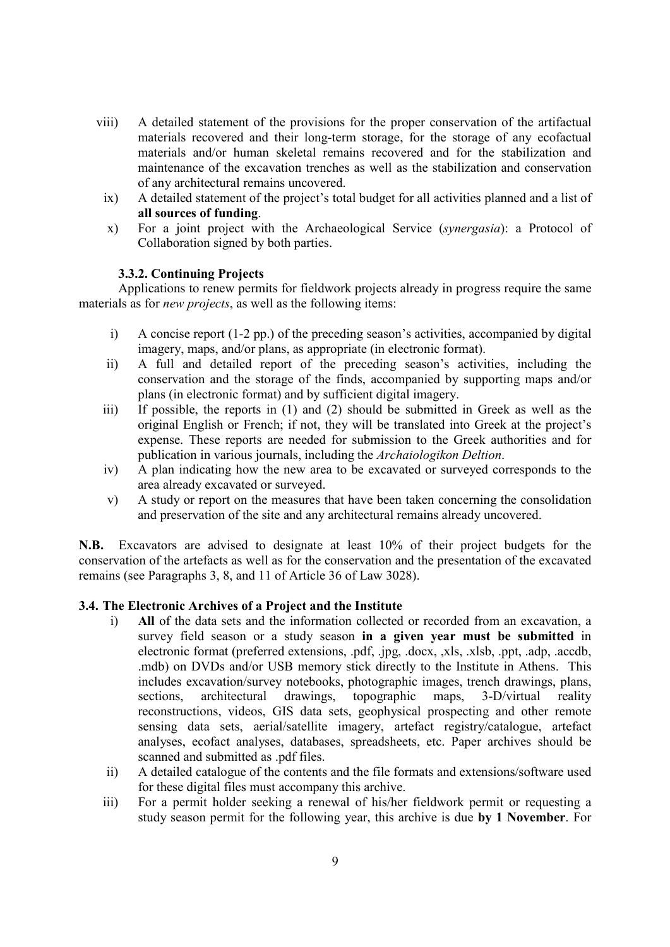- viii) A detailed statement of the provisions for the proper conservation of the artifactual materials recovered and their long-term storage, for the storage of any ecofactual materials and/or human skeletal remains recovered and for the stabilization and maintenance of the excavation trenches as well as the stabilization and conservation of any architectural remains uncovered.
	- ix) A detailed statement of the project's total budget for all activities planned and a list of **all sources of funding**.
	- x) For a joint project with the Archaeological Service (*synergasia*): a Protocol of Collaboration signed by both parties.

### **3.3.2. Continuing Projects**

Applications to renew permits for fieldwork projects already in progress require the same materials as for *new projects*, as well as the following items:

- i) A concise report (1-2 pp.) of the preceding season's activities, accompanied by digital imagery, maps, and/or plans, as appropriate (in electronic format).
- ii) A full and detailed report of the preceding season's activities, including the conservation and the storage of the finds, accompanied by supporting maps and/or plans (in electronic format) and by sufficient digital imagery.
- iii) If possible, the reports in (1) and (2) should be submitted in Greek as well as the original English or French; if not, they will be translated into Greek at the project's expense. These reports are needed for submission to the Greek authorities and for publication in various journals, including the *Archaiologikon Deltion*.
- iv) A plan indicating how the new area to be excavated or surveyed corresponds to the area already excavated or surveyed.
- v) A study or report on the measures that have been taken concerning the consolidation and preservation of the site and any architectural remains already uncovered.

**N.B.** Excavators are advised to designate at least 10% of their project budgets for the conservation of the artefacts as well as for the conservation and the presentation of the excavated remains (see Paragraphs 3, 8, and 11 of Article 36 of Law 3028).

#### **3.4. The Electronic Archives of a Project and the Institute**

- i) **All** of the data sets and the information collected or recorded from an excavation, a survey field season or a study season **in a given year must be submitted** in electronic format (preferred extensions, .pdf, .jpg, .docx, ,xls, .xlsb, .ppt, .adp, .accdb, .mdb) on DVDs and/or USB memory stick directly to the Institute in Athens. This includes excavation/survey notebooks, photographic images, trench drawings, plans, sections. architectural drawings, topographic maps, 3-D/virtual reality sections, architectural drawings, topographic maps, 3-D/virtual reality reconstructions, videos, GIS data sets, geophysical prospecting and other remote sensing data sets, aerial/satellite imagery, artefact registry/catalogue, artefact analyses, ecofact analyses, databases, spreadsheets, etc. Paper archives should be scanned and submitted as .pdf files.
- ii) A detailed catalogue of the contents and the file formats and extensions/software used for these digital files must accompany this archive.
- iii) For a permit holder seeking a renewal of his/her fieldwork permit or requesting a study season permit for the following year, this archive is due **by 1 November**. For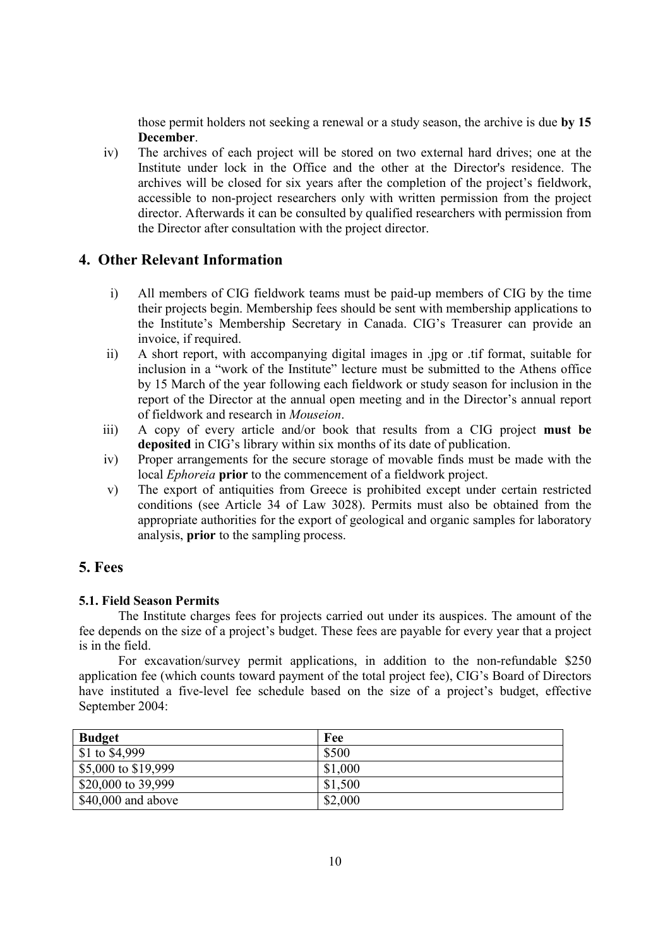those permit holders not seeking a renewal or a study season, the archive is due **by 15 December**.

iv) The archives of each project will be stored on two external hard drives; one at the Institute under lock in the Office and the other at the Director's residence. The archives will be closed for six years after the completion of the project's fieldwork, accessible to non-project researchers only with written permission from the project director. Afterwards it can be consulted by qualified researchers with permission from the Director after consultation with the project director.

# **4. Other Relevant Information**

- i) All members of CIG fieldwork teams must be paid-up members of CIG by the time their projects begin. Membership fees should be sent with membership applications to the Institute's Membership Secretary in Canada. CIG's Treasurer can provide an invoice, if required.
- ii) A short report, with accompanying digital images in .jpg or .tif format, suitable for inclusion in a "work of the Institute" lecture must be submitted to the Athens office by 15 March of the year following each fieldwork or study season for inclusion in the report of the Director at the annual open meeting and in the Director's annual report of fieldwork and research in *Mouseion*.
- iii) A copy of every article and/or book that results from a CIG project **must be deposited** in CIG's library within six months of its date of publication.
- iv) Proper arrangements for the secure storage of movable finds must be made with the local *Ephoreia* **prior** to the commencement of a fieldwork project.
- v) The export of antiquities from Greece is prohibited except under certain restricted conditions (see Article 34 of Law 3028). Permits must also be obtained from the appropriate authorities for the export of geological and organic samples for laboratory analysis, **prior** to the sampling process.

# **5. Fees**

# **5.1. Field Season Permits**

The Institute charges fees for projects carried out under its auspices. The amount of the fee depends on the size of a project's budget. These fees are payable for every year that a project is in the field.

For excavation/survey permit applications, in addition to the non-refundable \$250 application fee (which counts toward payment of the total project fee), CIG's Board of Directors have instituted a five-level fee schedule based on the size of a project's budget, effective September 2004:

| <b>Budget</b>       | Fee     |
|---------------------|---------|
| \$1 to \$4,999      | \$500   |
| \$5,000 to \$19,999 | \$1,000 |
| \$20,000 to 39,999  | \$1,500 |
| $$40,000$ and above | \$2,000 |